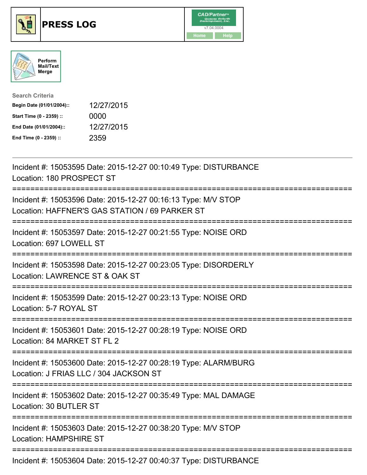





| <b>Search Criteria</b>    |            |
|---------------------------|------------|
| Begin Date (01/01/2004):: | 12/27/2015 |
| Start Time (0 - 2359) ::  | 0000       |
| End Date (01/01/2004)::   | 12/27/2015 |
| End Time (0 - 2359) ::    | 2359       |

| Incident #: 15053595 Date: 2015-12-27 00:10:49 Type: DISTURBANCE<br>Location: 180 PROSPECT ST                                               |
|---------------------------------------------------------------------------------------------------------------------------------------------|
| Incident #: 15053596 Date: 2015-12-27 00:16:13 Type: M/V STOP<br>Location: HAFFNER'S GAS STATION / 69 PARKER ST                             |
| Incident #: 15053597 Date: 2015-12-27 00:21:55 Type: NOISE ORD<br>Location: 697 LOWELL ST                                                   |
| Incident #: 15053598 Date: 2015-12-27 00:23:05 Type: DISORDERLY<br>Location: LAWRENCE ST & OAK ST                                           |
| Incident #: 15053599 Date: 2015-12-27 00:23:13 Type: NOISE ORD<br>Location: 5-7 ROYAL ST<br>===================                             |
| Incident #: 15053601 Date: 2015-12-27 00:28:19 Type: NOISE ORD<br>Location: 84 MARKET ST FL 2                                               |
| Incident #: 15053600 Date: 2015-12-27 00:28:19 Type: ALARM/BURG<br>Location: J FRIAS LLC / 304 JACKSON ST<br>============================== |
| Incident #: 15053602 Date: 2015-12-27 00:35:49 Type: MAL DAMAGE<br>Location: 30 BUTLER ST                                                   |
| Incident #: 15053603 Date: 2015-12-27 00:38:20 Type: M/V STOP<br><b>Location: HAMPSHIRE ST</b>                                              |
| Incident #: 15053604 Date: 2015-12-27 00:40:37 Type: DISTURBANCE                                                                            |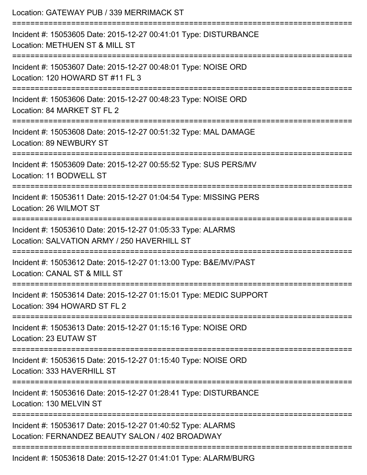| Location: GATEWAY PUB / 339 MERRIMACK ST                                                                                             |
|--------------------------------------------------------------------------------------------------------------------------------------|
| Incident #: 15053605 Date: 2015-12-27 00:41:01 Type: DISTURBANCE<br>Location: METHUEN ST & MILL ST                                   |
| Incident #: 15053607 Date: 2015-12-27 00:48:01 Type: NOISE ORD<br>Location: 120 HOWARD ST #11 FL 3                                   |
| Incident #: 15053606 Date: 2015-12-27 00:48:23 Type: NOISE ORD<br>Location: 84 MARKET ST FL 2                                        |
| ;====================<br>Incident #: 15053608 Date: 2015-12-27 00:51:32 Type: MAL DAMAGE<br>Location: 89 NEWBURY ST                  |
| Incident #: 15053609 Date: 2015-12-27 00:55:52 Type: SUS PERS/MV<br>Location: 11 BODWELL ST                                          |
| -------------------------------------<br>Incident #: 15053611 Date: 2015-12-27 01:04:54 Type: MISSING PERS<br>Location: 26 WILMOT ST |
| Incident #: 15053610 Date: 2015-12-27 01:05:33 Type: ALARMS<br>Location: SALVATION ARMY / 250 HAVERHILL ST                           |
| Incident #: 15053612 Date: 2015-12-27 01:13:00 Type: B&E/MV/PAST<br>Location: CANAL ST & MILL ST                                     |
| Incident #: 15053614 Date: 2015-12-27 01:15:01 Type: MEDIC SUPPORT<br>Location: 394 HOWARD ST FL 2                                   |
| Incident #: 15053613 Date: 2015-12-27 01:15:16 Type: NOISE ORD<br>Location: 23 EUTAW ST                                              |
| Incident #: 15053615 Date: 2015-12-27 01:15:40 Type: NOISE ORD<br>Location: 333 HAVERHILL ST                                         |
| Incident #: 15053616 Date: 2015-12-27 01:28:41 Type: DISTURBANCE<br>Location: 130 MELVIN ST                                          |
| Incident #: 15053617 Date: 2015-12-27 01:40:52 Type: ALARMS<br>Location: FERNANDEZ BEAUTY SALON / 402 BROADWAY                       |
| Incident #: 15053618 Date: 2015-12-27 01:41:01 Type: ALARM/BURG                                                                      |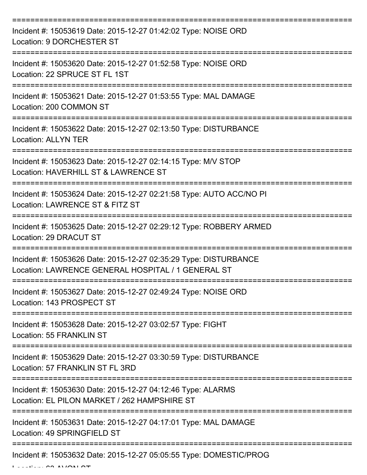| Incident #: 15053619 Date: 2015-12-27 01:42:02 Type: NOISE ORD<br>Location: 9 DORCHESTER ST                            |
|------------------------------------------------------------------------------------------------------------------------|
| Incident #: 15053620 Date: 2015-12-27 01:52:58 Type: NOISE ORD<br>Location: 22 SPRUCE ST FL 1ST                        |
| Incident #: 15053621 Date: 2015-12-27 01:53:55 Type: MAL DAMAGE<br>Location: 200 COMMON ST                             |
| Incident #: 15053622 Date: 2015-12-27 02:13:50 Type: DISTURBANCE<br><b>Location: ALLYN TER</b>                         |
| Incident #: 15053623 Date: 2015-12-27 02:14:15 Type: M/V STOP<br>Location: HAVERHILL ST & LAWRENCE ST                  |
| Incident #: 15053624 Date: 2015-12-27 02:21:58 Type: AUTO ACC/NO PI<br>Location: LAWRENCE ST & FITZ ST                 |
| Incident #: 15053625 Date: 2015-12-27 02:29:12 Type: ROBBERY ARMED<br>Location: 29 DRACUT ST                           |
| Incident #: 15053626 Date: 2015-12-27 02:35:29 Type: DISTURBANCE<br>Location: LAWRENCE GENERAL HOSPITAL / 1 GENERAL ST |
| Incident #: 15053627 Date: 2015-12-27 02:49:24 Type: NOISE ORD<br>Location: 143 PROSPECT ST                            |
| Incident #: 15053628 Date: 2015-12-27 03:02:57 Type: FIGHT<br><b>Location: 55 FRANKLIN ST</b>                          |
| Incident #: 15053629 Date: 2015-12-27 03:30:59 Type: DISTURBANCE<br>Location: 57 FRANKLIN ST FL 3RD                    |
| Incident #: 15053630 Date: 2015-12-27 04:12:46 Type: ALARMS<br>Location: EL PILON MARKET / 262 HAMPSHIRE ST            |
| Incident #: 15053631 Date: 2015-12-27 04:17:01 Type: MAL DAMAGE<br>Location: 49 SPRINGFIELD ST                         |
| Incident #: 15053632 Date: 2015-12-27 05:05:55 Type: DOMESTIC/PROG                                                     |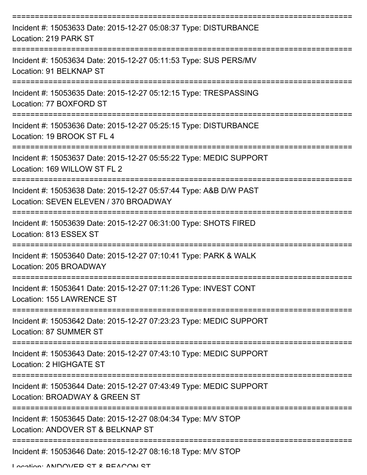| Incident #: 15053633 Date: 2015-12-27 05:08:37 Type: DISTURBANCE<br>Location: 219 PARK ST                  |
|------------------------------------------------------------------------------------------------------------|
| Incident #: 15053634 Date: 2015-12-27 05:11:53 Type: SUS PERS/MV<br>Location: 91 BELKNAP ST                |
| Incident #: 15053635 Date: 2015-12-27 05:12:15 Type: TRESPASSING<br>Location: 77 BOXFORD ST                |
| Incident #: 15053636 Date: 2015-12-27 05:25:15 Type: DISTURBANCE<br>Location: 19 BROOK ST FL 4             |
| Incident #: 15053637 Date: 2015-12-27 05:55:22 Type: MEDIC SUPPORT<br>Location: 169 WILLOW ST FL 2         |
| Incident #: 15053638 Date: 2015-12-27 05:57:44 Type: A&B D/W PAST<br>Location: SEVEN ELEVEN / 370 BROADWAY |
| Incident #: 15053639 Date: 2015-12-27 06:31:00 Type: SHOTS FIRED<br>Location: 813 ESSEX ST                 |
| Incident #: 15053640 Date: 2015-12-27 07:10:41 Type: PARK & WALK<br>Location: 205 BROADWAY                 |
| Incident #: 15053641 Date: 2015-12-27 07:11:26 Type: INVEST CONT<br>Location: 155 LAWRENCE ST              |
| Incident #: 15053642 Date: 2015-12-27 07:23:23 Type: MEDIC SUPPORT<br>Location: 87 SUMMER ST               |
| Incident #: 15053643 Date: 2015-12-27 07:43:10 Type: MEDIC SUPPORT<br>Location: 2 HIGHGATE ST              |
| Incident #: 15053644 Date: 2015-12-27 07:43:49 Type: MEDIC SUPPORT<br>Location: BROADWAY & GREEN ST        |
| Incident #: 15053645 Date: 2015-12-27 08:04:34 Type: M/V STOP<br>Location: ANDOVER ST & BELKNAP ST         |
| Incident #: 15053646 Date: 2015-12-27 08:16:18 Type: M/V STOP                                              |

Location: ANDOVED CT & BEACON ST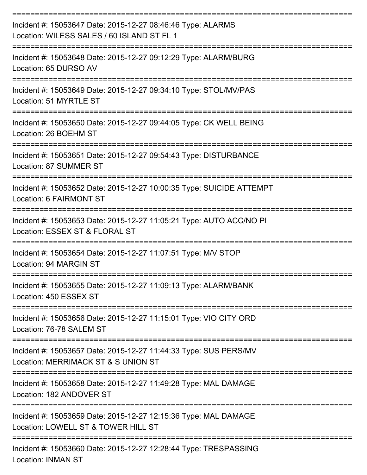| Incident #: 15053647 Date: 2015-12-27 08:46:46 Type: ALARMS<br>Location: WILESS SALES / 60 ISLAND ST FL 1       |
|-----------------------------------------------------------------------------------------------------------------|
| Incident #: 15053648 Date: 2015-12-27 09:12:29 Type: ALARM/BURG<br>Location: 65 DURSO AV                        |
| Incident #: 15053649 Date: 2015-12-27 09:34:10 Type: STOL/MV/PAS<br>Location: 51 MYRTLE ST                      |
| Incident #: 15053650 Date: 2015-12-27 09:44:05 Type: CK WELL BEING<br>Location: 26 BOEHM ST                     |
| Incident #: 15053651 Date: 2015-12-27 09:54:43 Type: DISTURBANCE<br>Location: 87 SUMMER ST                      |
| Incident #: 15053652 Date: 2015-12-27 10:00:35 Type: SUICIDE ATTEMPT<br>Location: 6 FAIRMONT ST                 |
| Incident #: 15053653 Date: 2015-12-27 11:05:21 Type: AUTO ACC/NO PI<br>Location: ESSEX ST & FLORAL ST           |
| Incident #: 15053654 Date: 2015-12-27 11:07:51 Type: M/V STOP<br>Location: 94 MARGIN ST                         |
| Incident #: 15053655 Date: 2015-12-27 11:09:13 Type: ALARM/BANK<br>Location: 450 ESSEX ST                       |
| --------------<br>Incident #: 15053656 Date: 2015-12-27 11:15:01 Type: VIO CITY ORD<br>Location: 76-78 SALEM ST |
| Incident #: 15053657 Date: 2015-12-27 11:44:33 Type: SUS PERS/MV<br>Location: MERRIMACK ST & S UNION ST         |
| Incident #: 15053658 Date: 2015-12-27 11:49:28 Type: MAL DAMAGE<br>Location: 182 ANDOVER ST                     |
| Incident #: 15053659 Date: 2015-12-27 12:15:36 Type: MAL DAMAGE<br>Location: LOWELL ST & TOWER HILL ST          |
| Incident #: 15053660 Date: 2015-12-27 12:28:44 Type: TRESPASSING                                                |

Location: INMAN ST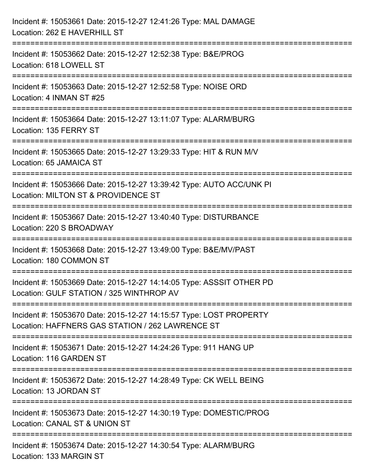| Incident #: 15053661 Date: 2015-12-27 12:41:26 Type: MAL DAMAGE<br>Location: 262 E HAVERHILL ST                                  |
|----------------------------------------------------------------------------------------------------------------------------------|
| ==========================<br>Incident #: 15053662 Date: 2015-12-27 12:52:38 Type: B&E/PROG<br>Location: 618 LOWELL ST           |
| Incident #: 15053663 Date: 2015-12-27 12:52:58 Type: NOISE ORD<br>Location: 4 INMAN ST #25<br>================================== |
| Incident #: 15053664 Date: 2015-12-27 13:11:07 Type: ALARM/BURG<br>Location: 135 FERRY ST                                        |
| Incident #: 15053665 Date: 2015-12-27 13:29:33 Type: HIT & RUN M/V<br>Location: 65 JAMAICA ST                                    |
| Incident #: 15053666 Date: 2015-12-27 13:39:42 Type: AUTO ACC/UNK PI<br>Location: MILTON ST & PROVIDENCE ST                      |
| Incident #: 15053667 Date: 2015-12-27 13:40:40 Type: DISTURBANCE<br>Location: 220 S BROADWAY                                     |
| Incident #: 15053668 Date: 2015-12-27 13:49:00 Type: B&E/MV/PAST<br>Location: 180 COMMON ST                                      |
| Incident #: 15053669 Date: 2015-12-27 14:14:05 Type: ASSSIT OTHER PD<br>Location: GULF STATION / 325 WINTHROP AV                 |
| Incident #: 15053670 Date: 2015-12-27 14:15:57 Type: LOST PROPERTY<br>Location: HAFFNERS GAS STATION / 262 LAWRENCE ST           |
| Incident #: 15053671 Date: 2015-12-27 14:24:26 Type: 911 HANG UP<br>Location: 116 GARDEN ST                                      |
| Incident #: 15053672 Date: 2015-12-27 14:28:49 Type: CK WELL BEING<br>Location: 13 JORDAN ST                                     |
| Incident #: 15053673 Date: 2015-12-27 14:30:19 Type: DOMESTIC/PROG<br>Location: CANAL ST & UNION ST                              |
| Incident #: 15053674 Date: 2015-12-27 14:30:54 Type: ALARM/BURG<br>Location: 133 MARGIN ST                                       |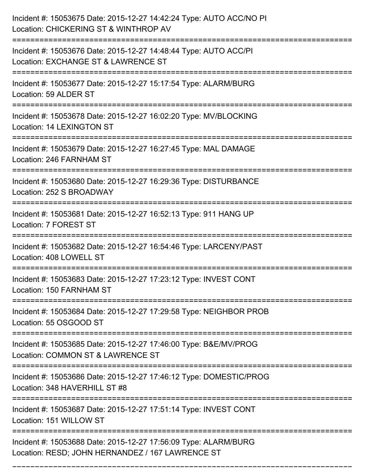| Incident #: 15053675 Date: 2015-12-27 14:42:24 Type: AUTO ACC/NO PI<br>Location: CHICKERING ST & WINTHROP AV                    |
|---------------------------------------------------------------------------------------------------------------------------------|
| Incident #: 15053676 Date: 2015-12-27 14:48:44 Type: AUTO ACC/PI<br>Location: EXCHANGE ST & LAWRENCE ST                         |
| Incident #: 15053677 Date: 2015-12-27 15:17:54 Type: ALARM/BURG<br>Location: 59 ALDER ST                                        |
| Incident #: 15053678 Date: 2015-12-27 16:02:20 Type: MV/BLOCKING<br>Location: 14 LEXINGTON ST                                   |
| Incident #: 15053679 Date: 2015-12-27 16:27:45 Type: MAL DAMAGE<br>Location: 246 FARNHAM ST                                     |
| Incident #: 15053680 Date: 2015-12-27 16:29:36 Type: DISTURBANCE<br>Location: 252 S BROADWAY                                    |
| Incident #: 15053681 Date: 2015-12-27 16:52:13 Type: 911 HANG UP<br>Location: 7 FOREST ST                                       |
| Incident #: 15053682 Date: 2015-12-27 16:54:46 Type: LARCENY/PAST<br>Location: 408 LOWELL ST                                    |
| Incident #: 15053683 Date: 2015-12-27 17:23:12 Type: INVEST CONT<br>Location: 150 FARNHAM ST                                    |
| Incident #: 15053684 Date: 2015-12-27 17:29:58 Type: NEIGHBOR PROB<br>Location: 55 OSGOOD ST                                    |
| Incident #: 15053685 Date: 2015-12-27 17:46:00 Type: B&E/MV/PROG<br>Location: COMMON ST & LAWRENCE ST                           |
| Incident #: 15053686 Date: 2015-12-27 17:46:12 Type: DOMESTIC/PROG<br>Location: 348 HAVERHILL ST #8                             |
| ================================<br>Incident #: 15053687 Date: 2015-12-27 17:51:14 Type: INVEST CONT<br>Location: 151 WILLOW ST |
| Incident #: 15053688 Date: 2015-12-27 17:56:09 Type: ALARM/BURG<br>Location: RESD; JOHN HERNANDEZ / 167 LAWRENCE ST             |

===========================================================================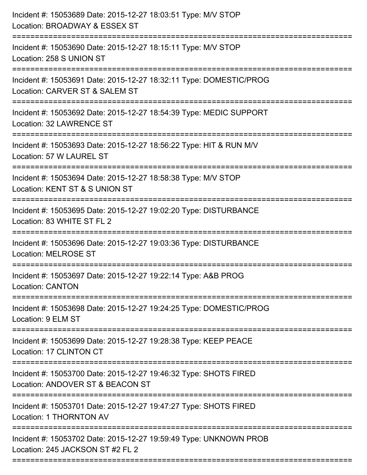| Incident #: 15053689 Date: 2015-12-27 18:03:51 Type: M/V STOP<br>Location: BROADWAY & ESSEX ST<br>=========================        |
|------------------------------------------------------------------------------------------------------------------------------------|
| Incident #: 15053690 Date: 2015-12-27 18:15:11 Type: M/V STOP<br>Location: 258 S UNION ST                                          |
| Incident #: 15053691 Date: 2015-12-27 18:32:11 Type: DOMESTIC/PROG<br>Location: CARVER ST & SALEM ST<br>=========================  |
| Incident #: 15053692 Date: 2015-12-27 18:54:39 Type: MEDIC SUPPORT<br>Location: 32 LAWRENCE ST                                     |
| Incident #: 15053693 Date: 2015-12-27 18:56:22 Type: HIT & RUN M/V<br>Location: 57 W LAUREL ST<br>================================ |
| Incident #: 15053694 Date: 2015-12-27 18:58:38 Type: M/V STOP<br>Location: KENT ST & S UNION ST                                    |
| Incident #: 15053695 Date: 2015-12-27 19:02:20 Type: DISTURBANCE<br>Location: 83 WHITE ST FL 2                                     |
| Incident #: 15053696 Date: 2015-12-27 19:03:36 Type: DISTURBANCE<br><b>Location: MELROSE ST</b>                                    |
| Incident #: 15053697 Date: 2015-12-27 19:22:14 Type: A&B PROG<br><b>Location: CANTON</b>                                           |
| Incident #: 15053698 Date: 2015-12-27 19:24:25 Type: DOMESTIC/PROG<br>Location: 9 ELM ST                                           |
| Incident #: 15053699 Date: 2015-12-27 19:28:38 Type: KEEP PEACE<br>Location: 17 CLINTON CT                                         |
| Incident #: 15053700 Date: 2015-12-27 19:46:32 Type: SHOTS FIRED<br>Location: ANDOVER ST & BEACON ST                               |
| Incident #: 15053701 Date: 2015-12-27 19:47:27 Type: SHOTS FIRED<br>Location: 1 THORNTON AV                                        |
| Incident #: 15053702 Date: 2015-12-27 19:59:49 Type: UNKNOWN PROB<br>Location: 245 JACKSON ST #2 FL 2                              |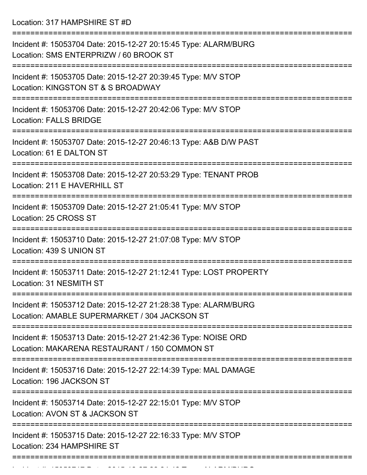Location: 317 HAMPSHIRE ST #D

| Incident #: 15053704 Date: 2015-12-27 20:15:45 Type: ALARM/BURG<br>Location: SMS ENTERPRIZW / 60 BROOK ST                             |
|---------------------------------------------------------------------------------------------------------------------------------------|
| Incident #: 15053705 Date: 2015-12-27 20:39:45 Type: M/V STOP<br>Location: KINGSTON ST & S BROADWAY                                   |
| Incident #: 15053706 Date: 2015-12-27 20:42:06 Type: M/V STOP<br><b>Location: FALLS BRIDGE</b>                                        |
| Incident #: 15053707 Date: 2015-12-27 20:46:13 Type: A&B D/W PAST<br>Location: 61 E DALTON ST                                         |
| Incident #: 15053708 Date: 2015-12-27 20:53:29 Type: TENANT PROB<br>Location: 211 E HAVERHILL ST                                      |
| Incident #: 15053709 Date: 2015-12-27 21:05:41 Type: M/V STOP<br>Location: 25 CROSS ST                                                |
| Incident #: 15053710 Date: 2015-12-27 21:07:08 Type: M/V STOP<br>Location: 439 S UNION ST                                             |
| Incident #: 15053711 Date: 2015-12-27 21:12:41 Type: LOST PROPERTY<br>Location: 31 NESMITH ST                                         |
| Incident #: 15053712 Date: 2015-12-27 21:28:38 Type: ALARM/BURG<br>Location: AMABLE SUPERMARKET / 304 JACKSON ST                      |
| ==================<br>Incident #: 15053713 Date: 2015-12-27 21:42:36 Type: NOISE ORD<br>Location: MAKARENA RESTAURANT / 150 COMMON ST |
| Incident #: 15053716 Date: 2015-12-27 22:14:39 Type: MAL DAMAGE<br>Location: 196 JACKSON ST                                           |
| Incident #: 15053714 Date: 2015-12-27 22:15:01 Type: M/V STOP<br>Location: AVON ST & JACKSON ST                                       |
| Incident #: 15053715 Date: 2015-12-27 22:16:33 Type: M/V STOP<br>Location: 234 HAMPSHIRE ST                                           |
|                                                                                                                                       |